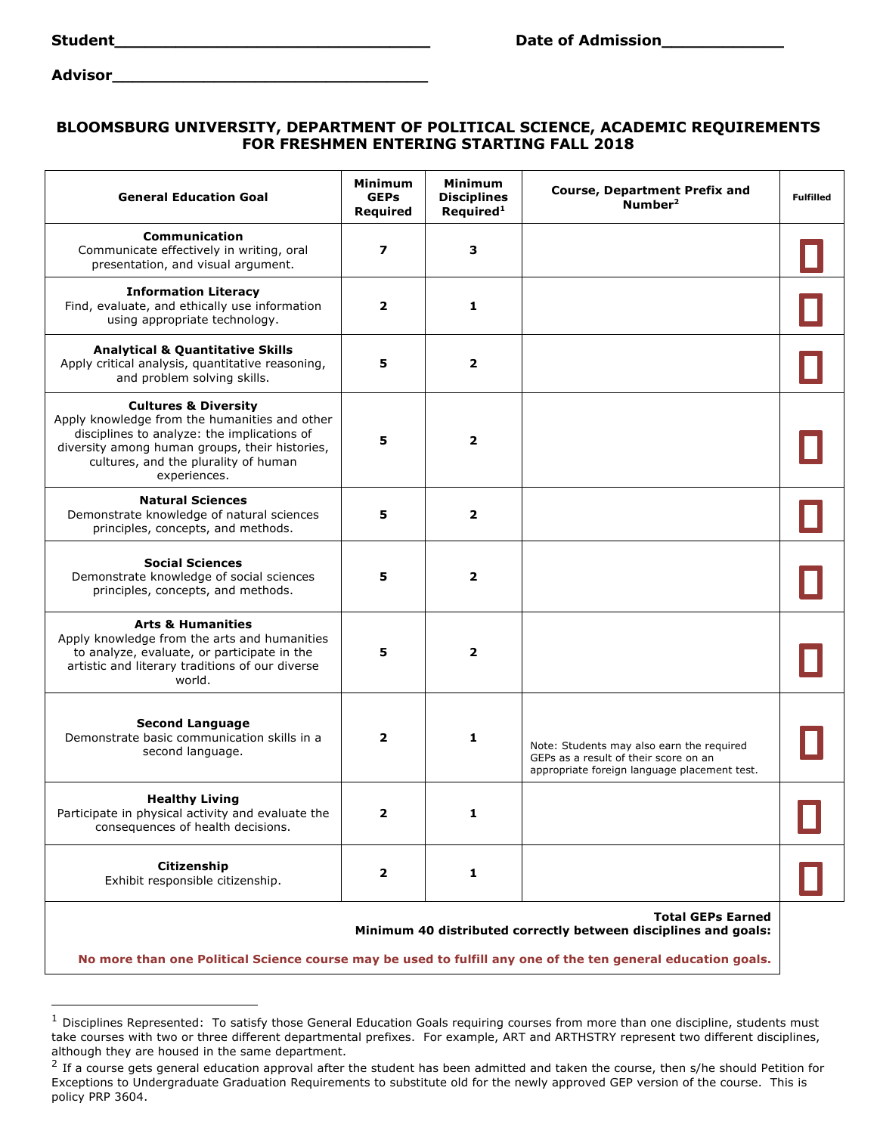| itudeni |  |  |
|---------|--|--|

**Advisor\_\_\_\_\_\_\_\_\_\_\_\_\_\_\_\_\_\_\_\_\_\_\_\_\_\_\_\_\_\_\_**

## **BLOOMSBURG UNIVERSITY, DEPARTMENT OF POLITICAL SCIENCE, ACADEMIC REQUIREMENTS FOR FRESHMEN ENTERING STARTING FALL 2018**

| <b>General Education Goal</b>                                                                                                                                                                                                             | <b>Minimum</b><br><b>GEPs</b><br>Required | <b>Minimum</b><br><b>Disciplines</b><br>Required <sup>1</sup> | <b>Course, Department Prefix and</b><br>Number <sup>2</sup>                                                                        | <b>Fulfilled</b> |
|-------------------------------------------------------------------------------------------------------------------------------------------------------------------------------------------------------------------------------------------|-------------------------------------------|---------------------------------------------------------------|------------------------------------------------------------------------------------------------------------------------------------|------------------|
| <b>Communication</b><br>Communicate effectively in writing, oral<br>presentation, and visual argument.                                                                                                                                    | $\overline{ }$                            | 3                                                             |                                                                                                                                    |                  |
| <b>Information Literacy</b><br>Find, evaluate, and ethically use information<br>using appropriate technology.                                                                                                                             | $\overline{2}$                            | 1                                                             |                                                                                                                                    |                  |
| <b>Analytical &amp; Quantitative Skills</b><br>Apply critical analysis, quantitative reasoning,<br>and problem solving skills.                                                                                                            | 5                                         | 2                                                             |                                                                                                                                    |                  |
| <b>Cultures &amp; Diversity</b><br>Apply knowledge from the humanities and other<br>disciplines to analyze: the implications of<br>diversity among human groups, their histories,<br>cultures, and the plurality of human<br>experiences. | 5                                         | $\mathbf{z}$                                                  |                                                                                                                                    |                  |
| <b>Natural Sciences</b><br>Demonstrate knowledge of natural sciences<br>principles, concepts, and methods.                                                                                                                                | 5                                         | 2                                                             |                                                                                                                                    |                  |
| <b>Social Sciences</b><br>Demonstrate knowledge of social sciences<br>principles, concepts, and methods.                                                                                                                                  | 5                                         | 2                                                             |                                                                                                                                    |                  |
| <b>Arts &amp; Humanities</b><br>Apply knowledge from the arts and humanities<br>to analyze, evaluate, or participate in the<br>artistic and literary traditions of our diverse<br>world.                                                  | 5                                         | 2                                                             |                                                                                                                                    |                  |
| <b>Second Language</b><br>Demonstrate basic communication skills in a<br>second language.                                                                                                                                                 | $\overline{\mathbf{2}}$                   | 1                                                             | Note: Students may also earn the required<br>GEPs as a result of their score on an<br>appropriate foreign language placement test. |                  |
| <b>Healthy Living</b><br>Participate in physical activity and evaluate the<br>consequences of health decisions.                                                                                                                           | $\overline{\mathbf{2}}$                   | 1                                                             |                                                                                                                                    |                  |
| Citizenship<br>Exhibit responsible citizenship.                                                                                                                                                                                           | 2                                         | 1                                                             |                                                                                                                                    |                  |
|                                                                                                                                                                                                                                           |                                           |                                                               | <b>Total GEPs Earned</b><br>Minimum 40 distributed correctly between disciplines and goals:                                        |                  |

**No more than one Political Science course may be used to fulfill any one of the ten general education goals.**

 $1$  Disciplines Represented: To satisfy those General Education Goals requiring courses from more than one discipline, students must take courses with two or three different departmental prefixes. For example, ART and ARTHSTRY represent two different disciplines, although they are housed in the same department.

 $2$  If a course gets general education approval after the student has been admitted and taken the course, then s/he should Petition for Exceptions to Undergraduate Graduation Requirements to substitute old for the newly approved GEP version of the course. This is policy PRP 3604.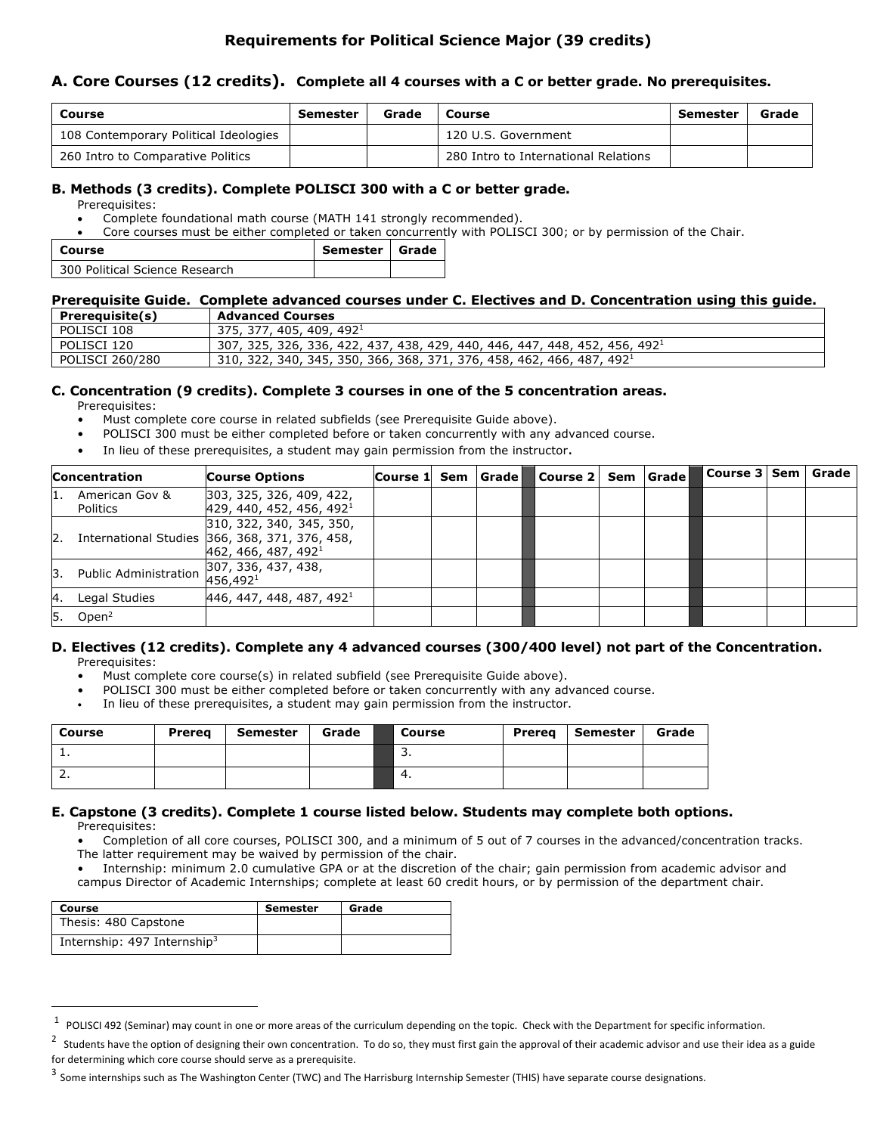# **Requirements for Political Science Major (39 credits)**

## **A. Core Courses (12 credits). Complete all 4 courses with a C or better grade. No prerequisites.**

| Course                                | Semester | Grade | Course                               | Semester | Grade |
|---------------------------------------|----------|-------|--------------------------------------|----------|-------|
| 108 Contemporary Political Ideologies |          |       | 120 U.S. Government                  |          |       |
| 260 Intro to Comparative Politics     |          |       | 280 Intro to International Relations |          |       |

#### **B. Methods (3 credits). Complete POLISCI 300 with a C or better grade.**

Prerequisites:

- Complete foundational math course (MATH 141 strongly recommended).
- Core courses must be either completed or taken concurrently with POLISCI 300; or by permission of the Chair.

| Course                         | Semester   Grade |  |
|--------------------------------|------------------|--|
| 300 Political Science Research |                  |  |

### **Prerequisite Guide. Complete advanced courses under C. Electives and D. Concentration using this guide.**

| Prerequisite(s) | <b>Advanced Courses</b>                                                           |
|-----------------|-----------------------------------------------------------------------------------|
| POLISCI 108     | 375, 377, 405, 409, 492 <sup>1</sup>                                              |
| POLISCI 120     | $307, 325, 326, 336, 422, 437, 438, 429, 440, 446, 447, 448, 452, 456, 4921$      |
| POLISCI 260/280 | 310, 322, 340, 345, 350, 366, 368, 371, 376, 458, 462, 466, 487, 492 <sup>1</sup> |

## **C. Concentration (9 credits). Complete 3 courses in one of the 5 concentration areas.**

Prerequisites:

- Must complete core course in related subfields (see Prerequisite Guide above).
- POLISCI 300 must be either completed before or taken concurrently with any advanced course.
- In lieu of these prerequisites, a student may gain permission from the instructor.

|     | <b>Concentration</b>       | <b>Course Options</b>                                                                                         | Course 1 Sem Grade |  | Course 2 Sem   Grade |  | Course 3   Sem   Grade |  |
|-----|----------------------------|---------------------------------------------------------------------------------------------------------------|--------------------|--|----------------------|--|------------------------|--|
| 11. | American Gov &<br>Politics | 303, 325, 326, 409, 422,<br>429, 440, 452, 456, 492 <sup>1</sup>                                              |                    |  |                      |  |                        |  |
| 2.  |                            | 310, 322, 340, 345, 350,<br>International Studies 366, 368, 371, 376, 458,<br>462, 466, 487, 492 <sup>1</sup> |                    |  |                      |  |                        |  |
| Β.  | Public Administration      | 307, 336, 437, 438,<br>456,492 <sup>1</sup>                                                                   |                    |  |                      |  |                        |  |
| 4.  | Legal Studies              | 446, 447, 448, 487, 492 <sup>1</sup>                                                                          |                    |  |                      |  |                        |  |
| 5.  | Open $2$                   |                                                                                                               |                    |  |                      |  |                        |  |

#### **D. Electives (12 credits). Complete any 4 advanced courses (300/400 level) not part of the Concentration.**  Prerequisites:

- Must complete core course(s) in related subfield (see Prerequisite Guide above).
- POLISCI 300 must be either completed before or taken concurrently with any advanced course.
- In lieu of these prerequisites, a student may gain permission from the instructor.

| Course     | <b>Prerea</b> | <b>Semester</b> | Grade | <b>Course</b> | <b>Prereg</b> | Semester | Grade |
|------------|---------------|-----------------|-------|---------------|---------------|----------|-------|
| <b>.</b>   |               |                 |       | <u>.</u>      |               |          |       |
| <u>. .</u> |               |                 |       | 4.            |               |          |       |

#### **E. Capstone (3 credits). Complete 1 course listed below. Students may complete both options.**  Prerequisites:

- Completion of all core courses, POLISCI 300, and a minimum of 5 out of 7 courses in the advanced/concentration tracks. The latter requirement may be waived by permission of the chair.
- Internship: minimum 2.0 cumulative GPA or at the discretion of the chair; gain permission from academic advisor and campus Director of Academic Internships; complete at least 60 credit hours, or by permission of the department chair.

| Course                                    | <b>Semester</b> | Grade |
|-------------------------------------------|-----------------|-------|
| Thesis: 480 Capstone                      |                 |       |
| Internship: $497$ Internship <sup>3</sup> |                 |       |

 $1$  POLISCI 492 (Seminar) may count in one or more areas of the curriculum depending on the topic. Check with the Department for specific information.

 $^2$  Students have the option of designing their own concentration. To do so, they must first gain the approval of their academic advisor and use their idea as a guide for determining which core course should serve as a prerequisite.

 $3$  Some internships such as The Washington Center (TWC) and The Harrisburg Internship Semester (THIS) have separate course designations.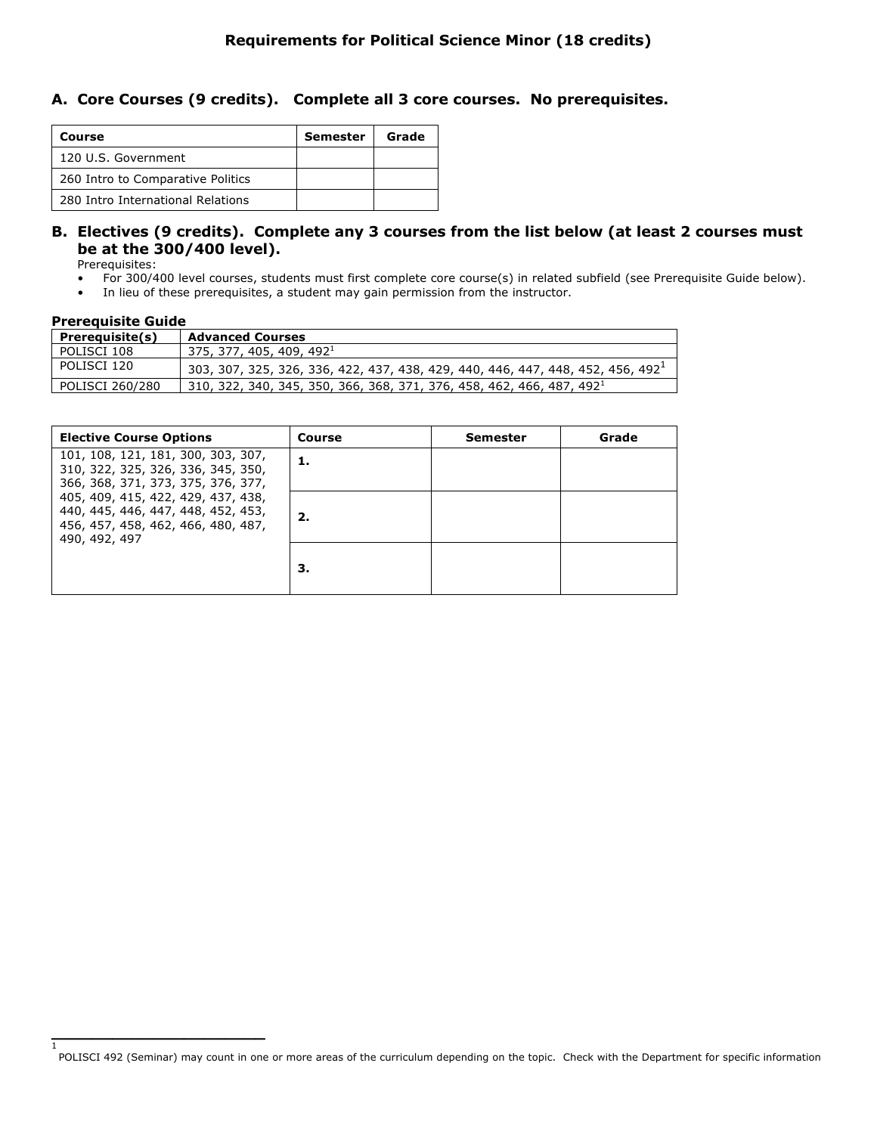## **A. Core Courses (9 credits). Complete all 3 core courses. No prerequisites.**

| Course                            | Semester | Grade |
|-----------------------------------|----------|-------|
| 120 U.S. Government               |          |       |
| 260 Intro to Comparative Politics |          |       |
| 280 Intro International Relations |          |       |

## **B. Electives (9 credits). Complete any 3 courses from the list below (at least 2 courses must be at the 300/400 level).**

Prerequisites:

- For 300/400 level courses, students must first complete core course(s) in related subfield (see Prerequisite Guide below).
- In lieu of these prerequisites, a student may gain permission from the instructor.

#### **Prerequisite Guide**

**\_\_\_\_\_\_\_\_\_\_\_\_\_\_\_\_\_\_\_\_\_**

1

| Prerequisite(s) | <b>Advanced Courses</b>                                                                     |
|-----------------|---------------------------------------------------------------------------------------------|
| POLISCI 108     | 375, 377, 405, 409, 492 $^1$                                                                |
| l POLISCI 120   | 303, 307, 325, 326, 336, 422, 437, 438, 429, 440, 446, 447, 448, 452, 456, 492 <sup>1</sup> |
| POLISCI 260/280 | 310, 322, 340, 345, 350, 366, 368, 371, 376, 458, 462, 466, 487, 492 <sup>1</sup>           |

| <b>Elective Course Options</b>                                                                                                  | Course | Semester | Grade |
|---------------------------------------------------------------------------------------------------------------------------------|--------|----------|-------|
| 101, 108, 121, 181, 300, 303, 307,<br>310, 322, 325, 326, 336, 345, 350,<br>366, 368, 371, 373, 375, 376, 377,                  | 1.     |          |       |
| 405, 409, 415, 422, 429, 437, 438,<br>440, 445, 446, 447, 448, 452, 453,<br>456, 457, 458, 462, 466, 480, 487,<br>490, 492, 497 | 2.     |          |       |
|                                                                                                                                 | З.     |          |       |

POLISCI 492 (Seminar) may count in one or more areas of the curriculum depending on the topic. Check with the Department for specific information